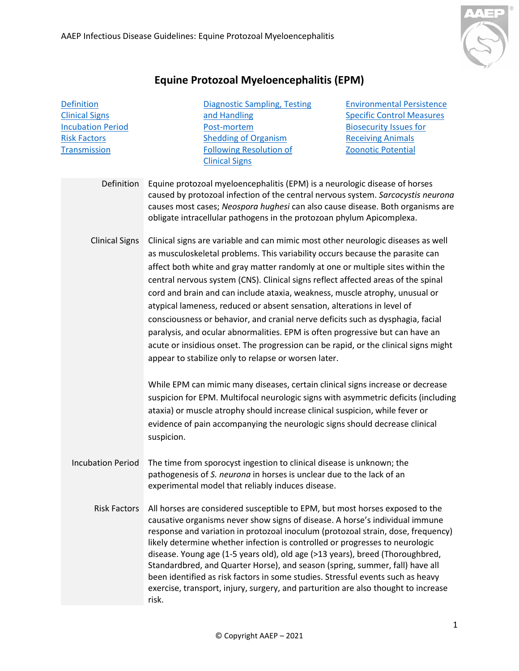

## **Equine Protozoal Myeloencephalitis (EPM)**

<span id="page-0-3"></span><span id="page-0-2"></span><span id="page-0-1"></span><span id="page-0-0"></span>**[Definition](#page-0-0)** [Clinical Signs](#page-0-1) [Incubation Period](#page-0-2) [Risk Factors](#page-0-3) **[Transmission](#page-1-0)** [Diagnostic Sampling, Testing](#page-1-1)  [and Handling](#page-1-1) [Post-mortem](#page-2-0) Shedding [of Organism](#page-3-0)  Following [Resolution of](#page-3-0)  [Clinical Signs](#page-3-0) [Environmental Persistence](#page-3-1) [Specific Control Measures](#page-3-2) [Biosecurity Issues for](#page-3-3)  [Receiving Animals](#page-3-3) [Zoonotic Potential](#page-3-4) Definition Equine protozoal myeloencephalitis (EPM) is a neurologic disease of horses caused by protozoal infection of the central nervous system. *Sarcocystis neurona* causes most cases; *Neospora hughesi* can also cause disease. Both organisms are obligate intracellular pathogens in the protozoan phylum Apicomplexa. Clinical Signs Clinical signs are variable and can mimic most other neurologic diseases as well as musculoskeletal problems. This variability occurs because the parasite can affect both white and gray matter randomly at one or multiple sites within the central nervous system (CNS). Clinical signs reflect affected areas of the spinal cord and brain and can include ataxia, weakness, muscle atrophy, unusual or atypical lameness, reduced or absent sensation, alterations in level of consciousness or behavior, and cranial nerve deficits such as dysphagia, facial paralysis, and ocular abnormalities. EPM is often progressive but can have an acute or insidious onset. The progression can be rapid, or the clinical signs might appear to stabilize only to relapse or worsen later. While EPM can mimic many diseases, certain clinical signs increase or decrease suspicion for EPM. Multifocal neurologic signs with asymmetric deficits (including ataxia) or muscle atrophy should increase clinical suspicion, while fever or evidence of pain accompanying the neurologic signs should decrease clinical suspicion. Incubation Period The time from sporocyst ingestion to clinical disease is unknown; the pathogenesis of *S. neurona* in horses is unclear due to the lack of an experimental model that reliably induces disease. Risk Factors All horses are considered susceptible to EPM, but most horses exposed to the causative organisms never show signs of disease. A horse's individual immune response and variation in protozoal inoculum (protozoal strain, dose, frequency) likely determine whether infection is controlled or progresses to neurologic disease. Young age (1-5 years old), old age (>13 years), breed (Thoroughbred, Standardbred, and Quarter Horse), and season (spring, summer, fall) have all been identified as risk factors in some studies. Stressful events such as heavy exercise, transport, injury, surgery, and parturition are also thought to increase risk.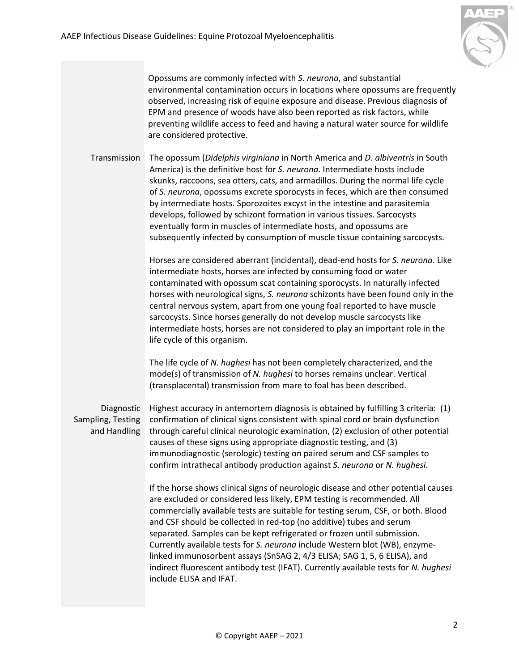

Opossums are commonly infected with *S. neurona*, and substantial environmental contamination occurs in locations where opossums are frequently observed, increasing risk of equine exposure and disease. Previous diagnosis of EPM and presence of woods have also been reported as risk factors, while preventing wildlife access to feed and having a natural water source for wildlife are considered protective.

<span id="page-1-0"></span>Transmission The opossum (*Didelphis virginiana* in North America and *D. albiventris* in South America) is the definitive host for *S. neurona*. Intermediate hosts include skunks, raccoons, sea otters, cats, and armadillos. During the normal life cycle of *S. neurona*, opossums excrete sporocysts in feces, which are then consumed by intermediate hosts. Sporozoites excyst in the intestine and parasitemia develops, followed by schizont formation in various tissues. Sarcocysts eventually form in muscles of intermediate hosts, and opossums are subsequently infected by consumption of muscle tissue containing sarcocysts.

> Horses are considered aberrant (incidental), dead-end hosts for *S. neurona*. Like intermediate hosts, horses are infected by consuming food or water contaminated with opossum scat containing sporocysts. In naturally infected horses with neurological signs, *S. neurona* schizonts have been found only in the central nervous system, apart from one young foal reported to have muscle sarcocysts. Since horses generally do not develop muscle sarcocysts like intermediate hosts, horses are not considered to play an important role in the life cycle of this organism.

The life cycle of *N. hughesi* has not been completely characterized, and the mode(s) of transmission of *N. hughesi* to horses remains unclear. Vertical (transplacental) transmission from mare to foal has been described.

<span id="page-1-1"></span>Diagnostic Sampling, Testing and Handling

Highest accuracy in antemortem diagnosis is obtained by fulfilling 3 criteria: (1) confirmation of clinical signs consistent with spinal cord or brain dysfunction through careful clinical neurologic examination, (2) exclusion of other potential causes of these signs using appropriate diagnostic testing, and (3) immunodiagnostic (serologic) testing on paired serum and CSF samples to confirm intrathecal antibody production against *S. neurona* or *N. hughesi*.

If the horse shows clinical signs of neurologic disease and other potential causes are excluded or considered less likely, EPM testing is recommended. All commercially available tests are suitable for testing serum, CSF, or both. Blood and CSF should be collected in red-top (no additive) tubes and serum separated. Samples can be kept refrigerated or frozen until submission. Currently available tests for *S. neurona* include Western blot (WB), enzymelinked immunosorbent assays (SnSAG 2, 4/3 ELISA; SAG 1, 5, 6 ELISA), and indirect fluorescent antibody test (IFAT). Currently available tests for *N. hughesi*  include ELISA and IFAT.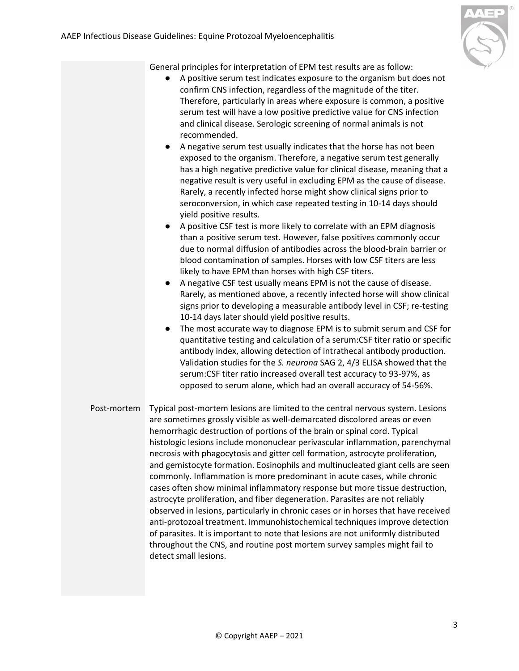

General principles for interpretation of EPM test results are as follow:

- A positive serum test indicates exposure to the organism but does not confirm CNS infection, regardless of the magnitude of the titer. Therefore, particularly in areas where exposure is common, a positive serum test will have a low positive predictive value for CNS infection and clinical disease. Serologic screening of normal animals is not recommended.
- A negative serum test usually indicates that the horse has not been exposed to the organism. Therefore, a negative serum test generally has a high negative predictive value for clinical disease, meaning that a negative result is very useful in excluding EPM as the cause of disease. Rarely, a recently infected horse might show clinical signs prior to seroconversion, in which case repeated testing in 10-14 days should yield positive results.
- A positive CSF test is more likely to correlate with an EPM diagnosis than a positive serum test. However, false positives commonly occur due to normal diffusion of antibodies across the blood-brain barrier or blood contamination of samples. Horses with low CSF titers are less likely to have EPM than horses with high CSF titers.
- A negative CSF test usually means EPM is not the cause of disease. Rarely, as mentioned above, a recently infected horse will show clinical signs prior to developing a measurable antibody level in CSF; re-testing 10-14 days later should yield positive results.
- The most accurate way to diagnose EPM is to submit serum and CSF for quantitative testing and calculation of a serum:CSF titer ratio or specific antibody index, allowing detection of intrathecal antibody production. Validation studies for the *S. neurona* SAG 2, 4/3 ELISA showed that the serum:CSF titer ratio increased overall test accuracy to 93-97%, as opposed to serum alone, which had an overall accuracy of 54-56%.
- <span id="page-2-0"></span>Post-mortem Typical post-mortem lesions are limited to the central nervous system. Lesions are sometimes grossly visible as well-demarcated discolored areas or even hemorrhagic destruction of portions of the brain or spinal cord. Typical histologic lesions include mononuclear perivascular inflammation, parenchymal necrosis with phagocytosis and gitter cell formation, astrocyte proliferation, and gemistocyte formation. Eosinophils and multinucleated giant cells are seen commonly. Inflammation is more predominant in acute cases, while chronic cases often show minimal inflammatory response but more tissue destruction, astrocyte proliferation, and fiber degeneration. Parasites are not reliably observed in lesions, particularly in chronic cases or in horses that have received anti-protozoal treatment. Immunohistochemical techniques improve detection of parasites. It is important to note that lesions are not uniformly distributed throughout the CNS, and routine post mortem survey samples might fail to detect small lesions.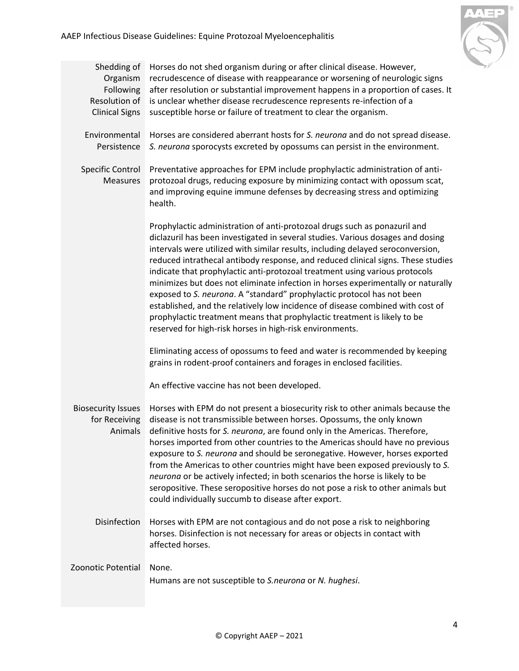

<span id="page-3-4"></span><span id="page-3-3"></span><span id="page-3-2"></span><span id="page-3-1"></span><span id="page-3-0"></span>

| Shedding of<br>Organism<br>Following<br>Resolution of<br><b>Clinical Signs</b> | Horses do not shed organism during or after clinical disease. However,<br>recrudescence of disease with reappearance or worsening of neurologic signs<br>after resolution or substantial improvement happens in a proportion of cases. It<br>is unclear whether disease recrudescence represents re-infection of a<br>susceptible horse or failure of treatment to clear the organism.                                                                                                                                                                                                                                                                                                                                                                                                                     |
|--------------------------------------------------------------------------------|------------------------------------------------------------------------------------------------------------------------------------------------------------------------------------------------------------------------------------------------------------------------------------------------------------------------------------------------------------------------------------------------------------------------------------------------------------------------------------------------------------------------------------------------------------------------------------------------------------------------------------------------------------------------------------------------------------------------------------------------------------------------------------------------------------|
| Environmental<br>Persistence                                                   | Horses are considered aberrant hosts for S. neurona and do not spread disease.<br>S. neurona sporocysts excreted by opossums can persist in the environment.                                                                                                                                                                                                                                                                                                                                                                                                                                                                                                                                                                                                                                               |
| <b>Specific Control</b><br><b>Measures</b>                                     | Preventative approaches for EPM include prophylactic administration of anti-<br>protozoal drugs, reducing exposure by minimizing contact with opossum scat,<br>and improving equine immune defenses by decreasing stress and optimizing<br>health.                                                                                                                                                                                                                                                                                                                                                                                                                                                                                                                                                         |
|                                                                                | Prophylactic administration of anti-protozoal drugs such as ponazuril and<br>diclazuril has been investigated in several studies. Various dosages and dosing<br>intervals were utilized with similar results, including delayed seroconversion,<br>reduced intrathecal antibody response, and reduced clinical signs. These studies<br>indicate that prophylactic anti-protozoal treatment using various protocols<br>minimizes but does not eliminate infection in horses experimentally or naturally<br>exposed to S. neurona. A "standard" prophylactic protocol has not been<br>established, and the relatively low incidence of disease combined with cost of<br>prophylactic treatment means that prophylactic treatment is likely to be<br>reserved for high-risk horses in high-risk environments. |
|                                                                                | Eliminating access of opossums to feed and water is recommended by keeping<br>grains in rodent-proof containers and forages in enclosed facilities.                                                                                                                                                                                                                                                                                                                                                                                                                                                                                                                                                                                                                                                        |
|                                                                                | An effective vaccine has not been developed.                                                                                                                                                                                                                                                                                                                                                                                                                                                                                                                                                                                                                                                                                                                                                               |
| <b>Biosecurity Issues</b><br>for Receiving<br>Animals                          | Horses with EPM do not present a biosecurity risk to other animals because the<br>disease is not transmissible between horses. Opossums, the only known<br>definitive hosts for S. neurona, are found only in the Americas. Therefore,<br>horses imported from other countries to the Americas should have no previous<br>exposure to S. neurona and should be seronegative. However, horses exported<br>from the Americas to other countries might have been exposed previously to S.<br>neurona or be actively infected; in both scenarios the horse is likely to be<br>seropositive. These seropositive horses do not pose a risk to other animals but<br>could individually succumb to disease after export.                                                                                           |
| Disinfection                                                                   | Horses with EPM are not contagious and do not pose a risk to neighboring<br>horses. Disinfection is not necessary for areas or objects in contact with<br>affected horses.                                                                                                                                                                                                                                                                                                                                                                                                                                                                                                                                                                                                                                 |
| Zoonotic Potential                                                             | None.<br>Humans are not susceptible to S.neurona or N. hughesi.                                                                                                                                                                                                                                                                                                                                                                                                                                                                                                                                                                                                                                                                                                                                            |
|                                                                                |                                                                                                                                                                                                                                                                                                                                                                                                                                                                                                                                                                                                                                                                                                                                                                                                            |